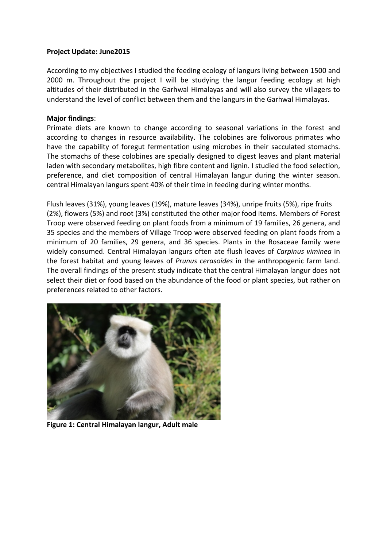## **Project Update: June2015**

According to my objectives I studied the feeding ecology of langurs living between 1500 and 2000 m. Throughout the project I will be studying the langur feeding ecology at high altitudes of their distributed in the Garhwal Himalayas and will also survey the villagers to understand the level of conflict between them and the langurs in the Garhwal Himalayas.

## **Major findings**:

Primate diets are known to change according to seasonal variations in the forest and according to changes in resource availability. The colobines are folivorous primates who have the capability of foregut fermentation using microbes in their sacculated stomachs. The stomachs of these colobines are specially designed to digest leaves and plant material laden with secondary metabolites, high fibre content and lignin. I studied the food selection, preference, and diet composition of central Himalayan langur during the winter season. central Himalayan langurs spent 40% of their time in feeding during winter months.

Flush leaves (31%), young leaves (19%), mature leaves (34%), unripe fruits (5%), ripe fruits (2%), flowers (5%) and root (3%) constituted the other major food items. Members of Forest Troop were observed feeding on plant foods from a minimum of 19 families, 26 genera, and 35 species and the members of Village Troop were observed feeding on plant foods from a minimum of 20 families, 29 genera, and 36 species. Plants in the Rosaceae family were widely consumed. Central Himalayan langurs often ate flush leaves of *Carpinus viminea* in the forest habitat and young leaves of *Prunus cerasoides* in the anthropogenic farm land. The overall findings of the present study indicate that the central Himalayan langur does not select their diet or food based on the abundance of the food or plant species, but rather on preferences related to other factors.



**Figure 1: Central Himalayan langur, Adult male**